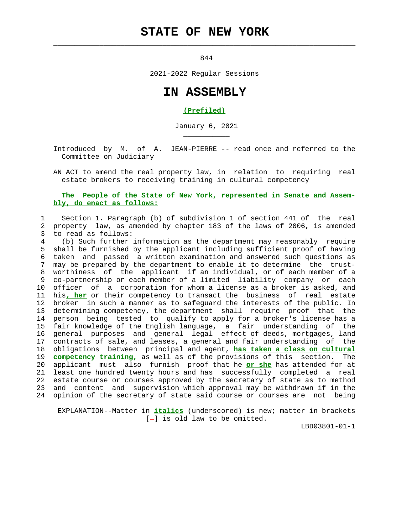# **STATE OF NEW YORK**

 $\mathcal{L}_\text{max} = \frac{1}{2} \sum_{i=1}^{n} \frac{1}{2} \sum_{i=1}^{n} \frac{1}{2} \sum_{i=1}^{n} \frac{1}{2} \sum_{i=1}^{n} \frac{1}{2} \sum_{i=1}^{n} \frac{1}{2} \sum_{i=1}^{n} \frac{1}{2} \sum_{i=1}^{n} \frac{1}{2} \sum_{i=1}^{n} \frac{1}{2} \sum_{i=1}^{n} \frac{1}{2} \sum_{i=1}^{n} \frac{1}{2} \sum_{i=1}^{n} \frac{1}{2} \sum_{i=1}^{n} \frac{1$ 

\_\_\_\_\_\_\_\_\_\_\_

844

2021-2022 Regular Sessions

## **IN ASSEMBLY**

#### **(Prefiled)**

January 6, 2021

 Introduced by M. of A. JEAN-PIERRE -- read once and referred to the Committee on Judiciary

 AN ACT to amend the real property law, in relation to requiring real estate brokers to receiving training in cultural competency

### **The People of the State of New York, represented in Senate and Assem bly, do enact as follows:**

 1 Section 1. Paragraph (b) of subdivision 1 of section 441 of the real 2 property law, as amended by chapter 183 of the laws of 2006, is amended 3 to read as follows:

 4 (b) Such further information as the department may reasonably require 5 shall be furnished by the applicant including sufficient proof of having 6 taken and passed a written examination and answered such questions as 7 may be prepared by the department to enable it to determine the trust- 8 worthiness of the applicant if an individual, or of each member of a 9 co-partnership or each member of a limited liability company or each 10 officer of a corporation for whom a license as a broker is asked, and 11 his**, her** or their competency to transact the business of real estate 12 broker in such a manner as to safeguard the interests of the public. In 13 determining competency, the department shall require proof that the 14 person being tested to qualify to apply for a broker's license has a 15 fair knowledge of the English language, a fair understanding of the 16 general purposes and general legal effect of deeds, mortgages, land 17 contracts of sale, and leases, a general and fair understanding of the 18 obligations between principal and agent, **has taken a class on cultural** 19 **competency training,** as well as of the provisions of this section. The 20 applicant must also furnish proof that he **or she** has attended for at 21 least one hundred twenty hours and has successfully completed a real 22 estate course or courses approved by the secretary of state as to method 23 and content and supervision which approval may be withdrawn if in the 24 opinion of the secretary of state said course or courses are not being

 EXPLANATION--Matter in **italics** (underscored) is new; matter in brackets  $[-]$  is old law to be omitted.

LBD03801-01-1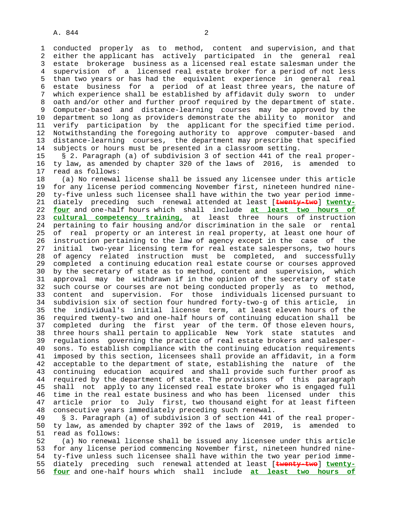1 conducted properly as to method, content and supervision, and that 2 either the applicant has actively participated in the general real 3 estate brokerage business as a licensed real estate salesman under the 4 supervision of a licensed real estate broker for a period of not less 5 than two years or has had the equivalent experience in general real 6 estate business for a period of at least three years, the nature of 7 which experience shall be established by affidavit duly sworn to under 8 oath and/or other and further proof required by the department of state.<br>9 Computer-based and distance-learning courses may be approved by the 9 Computer-based and distance-learning courses may be approved by the 10 department so long as providers demonstrate the ability to monitor and 11 verify participation by the applicant for the specified time period. 12 Notwithstanding the foregoing authority to approve computer-based and 13 distance-learning courses, the department may prescribe that specified 14 subjects or hours must be presented in a classroom setting.

 15 § 2. Paragraph (a) of subdivision 3 of section 441 of the real proper- 16 ty law, as amended by chapter 320 of the laws of 2016, is amended to 17 read as follows:

 18 (a) No renewal license shall be issued any licensee under this article 19 for any license period commencing November first, nineteen hundred nine- 20 ty-five unless such licensee shall have within the two year period imme- 21 diately preceding such renewal attended at least [**twenty-two**] **twenty-** 22 **four** and one-half hours which shall include **at least two hours of** 23 **cultural competency training,** at least three hours of instruction 24 pertaining to fair housing and/or discrimination in the sale or rental 25 of real property or an interest in real property, at least one hour of 26 instruction pertaining to the law of agency except in the case of the 27 initial two-year licensing term for real estate salespersons, two hours 28 of agency related instruction must be completed, and successfully 29 completed a continuing education real estate course or courses approved 30 by the secretary of state as to method, content and supervision, which 31 approval may be withdrawn if in the opinion of the secretary of state 32 such course or courses are not being conducted properly as to method, 33 content and supervision. For those individuals licensed pursuant to 34 subdivision six of section four hundred forty-two-g of this article, in 35 the individual's initial license term, at least eleven hours of the 36 required twenty-two and one-half hours of continuing education shall be 37 completed during the first year of the term. Of those eleven hours, 38 three hours shall pertain to applicable New York state statutes and 39 regulations governing the practice of real estate brokers and salesper- 40 sons. To establish compliance with the continuing education requirements 41 imposed by this section, licensees shall provide an affidavit, in a form 42 acceptable to the department of state, establishing the nature of the 43 continuing education acquired and shall provide such further proof as 44 required by the department of state. The provisions of this paragraph 45 shall not apply to any licensed real estate broker who is engaged full 46 time in the real estate business and who has been licensed under this 47 article prior to July first, two thousand eight for at least fifteen 48 consecutive years immediately preceding such renewal.

 49 § 3. Paragraph (a) of subdivision 3 of section 441 of the real proper- 50 ty law, as amended by chapter 392 of the laws of 2019, is amended to 51 read as follows:

 52 (a) No renewal license shall be issued any licensee under this article 53 for any license period commencing November first, nineteen hundred nine- 54 ty-five unless such licensee shall have within the two year period imme- 55 diately preceding such renewal attended at least [**twenty-two**] **twenty-** 56 **four** and one-half hours which shall include **at least two hours of**